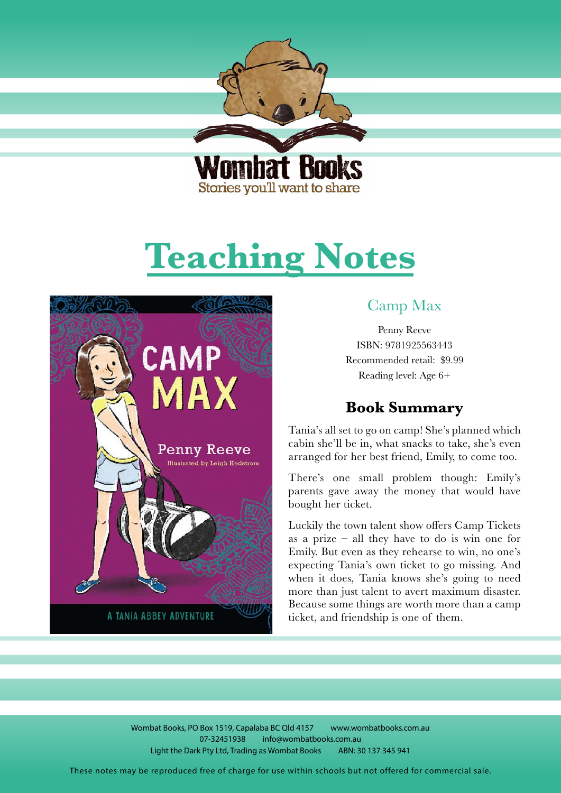<span id="page-0-0"></span>

Stories you'll want to share

# **Teaching Notes**



# Camp Max

Penny Reeve ISBN: 9781925563443 Recommended retail: \$9.99 Reading level: Age 6+

# **Book Summary**

Tania's all set to go on camp! She's planned which cabin she'll be in, what snacks to take, she's even arranged for her best friend, Emily, to come too.

There's one small problem though: Emily's parents gave away the money that would have bought her ticket.

Luckily the town talent show offers Camp Tickets as a prize – all they have to do is win one for Emily. But even as they rehearse to win, no one's expecting Tania's own ticket to go missing. And when it does, Tania knows she's going to need more than just talent to avert maximum disaster. Because some things are worth more than a camp ticket, and friendship is one of them.

Wombat Books, PO Box 1519, Capalaba BC Qld 4157 www.wombatbooks.com.au 07-32451938 info@wombatbooks.com.au Light the Dark Pty Ltd, Trading as Wombat Books ABN: 30 137 345 941

These notes may be reproduced free of charge for use within schools but not offered for commercial sale.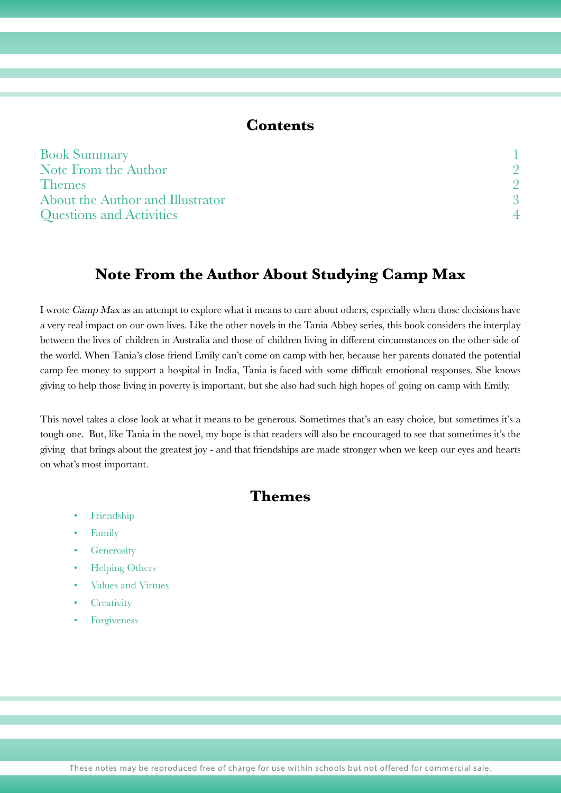#### **Contents**

| <b>Book Summary</b>              |  |
|----------------------------------|--|
| Note From the Author             |  |
| <b>Themes</b>                    |  |
| About the Author and Illustrator |  |
| <b>Questions and Activities</b>  |  |

# **Note From the Author About Studying Camp Max**

I wrote Camp Max as an attempt to explore what it means to care about others, especially when those decisions have a very real impact on our own lives. Like the other novels in the Tania Abbey series, this book considers the interplay between the lives of children in Australia and those of children living in different circumstances on the other side of the world. When Tania's close friend Emily can't come on camp with her, because her parents donated the potential camp fee money to support a hospital in India, Tania is faced with some difficult emotional responses. She knows giving to help those living in poverty is important, but she also had such high hopes of going on camp with Emily.

This novel takes a close look at what it means to be generous. Sometimes that's an easy choice, but sometimes it's a tough one. But, like Tania in the novel, my hope is that readers will also be encouraged to see that sometimes it's the giving that brings about the greatest joy - and that friendships are made stronger when we keep our eyes and hearts on what's most important.

## **Themes**

- Friendship
- Family
- **Generosity**
- Helping Others
- Values and Virtues
- **Creativity**
- **Forgiveness**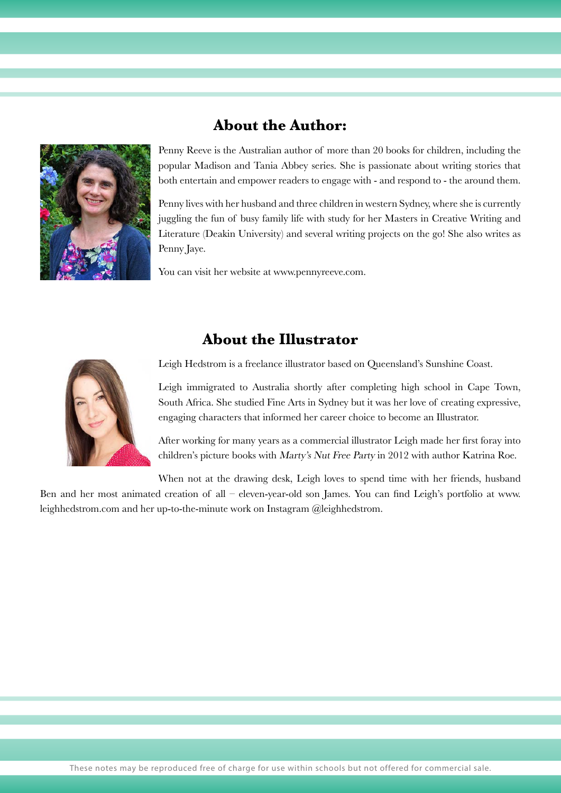<span id="page-2-0"></span>

### **About the Author:**

Penny Reeve is the Australian author of more than 20 books for children, including the popular Madison and Tania Abbey series. She is passionate about writing stories that both entertain and empower readers to engage with - and respond to - the around them.

Penny lives with her husband and three children in western Sydney, where she is currently juggling the fun of busy family life with study for her Masters in Creative Writing and Literature (Deakin University) and several writing projects on the go! She also writes as Penny Jaye.

You can visit her website at www.pennyreeve.com.

# **About the Illustrator**



Leigh Hedstrom is a freelance illustrator based on Queensland's Sunshine Coast.

Leigh immigrated to Australia shortly after completing high school in Cape Town, South Africa. She studied Fine Arts in Sydney but it was her love of creating expressive, engaging characters that informed her career choice to become an Illustrator.

After working for many years as a commercial illustrator Leigh made her first foray into children's picture books with Marty's Nut Free Party in 2012 with author Katrina Roe.

When not at the drawing desk, Leigh loves to spend time with her friends, husband Ben and her most animated creation of all – eleven-year-old son James. You can find Leigh's portfolio at www. leighhedstrom.com and her up-to-the-minute work on Instagram @leighhedstrom.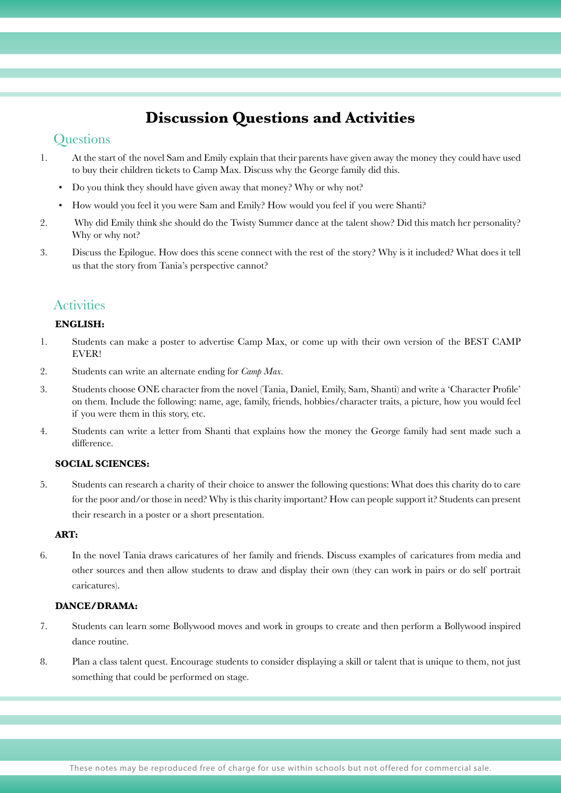# **Discussion Questions and Activities**

#### **Ouestions**

- 1. At the start of the novel Sam and Emily explain that their parents have given away the money they could have used to buy their children tickets to Camp Max. Discuss why the George family did this.
	- Do you think they should have given away that money? Why or why not?
	- How would you feel it you were Sam and Emily? How would you feel if you were Shanti?
- 2. Why did Emily think she should do the Twisty Summer dance at the talent show? Did this match her personality? Why or why not?
- 3. Discuss the Epilogue. How does this scene connect with the rest of the story? Why is it included? What does it tell us that the story from Tania's perspective cannot?

#### **Activities**

#### **ENGLISH:**

- 1. Students can make a poster to advertise Camp Max, or come up with their own version of the BEST CAMP EVER!
- 2. Students can write an alternate ending for *Camp Max*.
- 3. Students choose ONE character from the novel (Tania, Daniel, Emily, Sam, Shanti) and write a 'Character Profile' on them. Include the following: name, age, family, friends, hobbies/character traits, a picture, how you would feel if you were them in this story, etc.
- 4. Students can write a letter from Shanti that explains how the money the George family had sent made such a difference.

#### **SOCIAL SCIENCES:**

5. Students can research a charity of their choice to answer the following questions: What does this charity do to care for the poor and/or those in need? Why is this charity important? How can people support it? Students can present their research in a poster or a short presentation.

#### **ART:**

6. In the novel Tania draws caricatures of her family and friends. Discuss examples of caricatures from media and other sources and then allow students to draw and display their own (they can work in pairs or do self portrait caricatures).

#### **DANCE/DRAMA:**

- 7. Students can learn some Bollywood moves and work in groups to create and then perform a Bollywood inspired dance routine.
- 8. Plan a class talent quest. Encourage students to consider displaying a skill or talent that is unique to them, not just something that could be performed on stage.